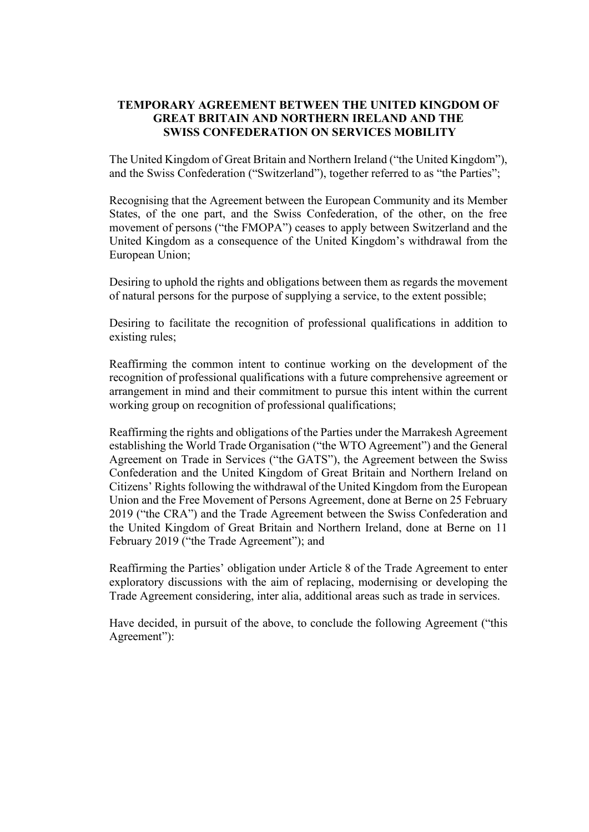## **TEMPORARY AGREEMENT BETWEEN THE UNITED KINGDOM OF GREAT BRITAIN AND NORTHERN IRELAND AND THE SWISS CONFEDERATION ON SERVICES MOBILITY**

The United Kingdom of Great Britain and Northern Ireland ("the United Kingdom"), and the Swiss Confederation ("Switzerland"), together referred to as "the Parties";

Recognising that the Agreement between the European Community and its Member States, of the one part, and the Swiss Confederation, of the other, on the free movement of persons ("the FMOPA") ceases to apply between Switzerland and the United Kingdom as a consequence of the United Kingdom's withdrawal from the European Union;

Desiring to uphold the rights and obligations between them as regards the movement of natural persons for the purpose of supplying a service, to the extent possible;

Desiring to facilitate the recognition of professional qualifications in addition to existing rules;

Reaffirming the common intent to continue working on the development of the recognition of professional qualifications with a future comprehensive agreement or arrangement in mind and their commitment to pursue this intent within the current working group on recognition of professional qualifications;

Reaffirming the rights and obligations of the Parties under the Marrakesh Agreement establishing the World Trade Organisation ("the WTO Agreement") and the General Agreement on Trade in Services ("the GATS"), the Agreement between the Swiss Confederation and the United Kingdom of Great Britain and Northern Ireland on Citizens' Rights following the withdrawal of the United Kingdom from the European Union and the Free Movement of Persons Agreement, done at Berne on 25 February 2019 ("the CRA") and the Trade Agreement between the Swiss Confederation and the United Kingdom of Great Britain and Northern Ireland, done at Berne on 11 February 2019 ("the Trade Agreement"); and

Reaffirming the Parties' obligation under Article 8 of the Trade Agreement to enter exploratory discussions with the aim of replacing, modernising or developing the Trade Agreement considering, inter alia, additional areas such as trade in services.

Have decided, in pursuit of the above, to conclude the following Agreement ("this Agreement"):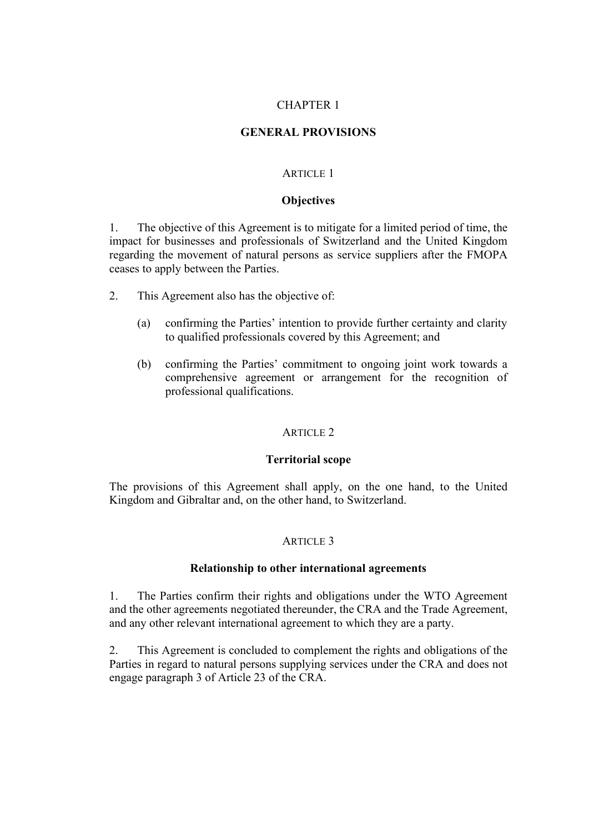## CHAPTER 1

# **GENERAL PROVISIONS**

## ARTICLE 1

## **Objectives**

1. The objective of this Agreement is to mitigate for a limited period of time, the impact for businesses and professionals of Switzerland and the United Kingdom regarding the movement of natural persons as service suppliers after the FMOPA ceases to apply between the Parties.

- 2. This Agreement also has the objective of:
	- (a) confirming the Parties' intention to provide further certainty and clarity to qualified professionals covered by this Agreement; and
	- (b) confirming the Parties' commitment to ongoing joint work towards a comprehensive agreement or arrangement for the recognition of professional qualifications.

# ARTICLE 2

## **Territorial scope**

The provisions of this Agreement shall apply, on the one hand, to the United Kingdom and Gibraltar and, on the other hand, to Switzerland.

## ARTICLE<sub>3</sub>

## **Relationship to other international agreements**

1. The Parties confirm their rights and obligations under the WTO Agreement and the other agreements negotiated thereunder, the CRA and the Trade Agreement, and any other relevant international agreement to which they are a party.

2. This Agreement is concluded to complement the rights and obligations of the Parties in regard to natural persons supplying services under the CRA and does not engage paragraph 3 of Article 23 of the CRA.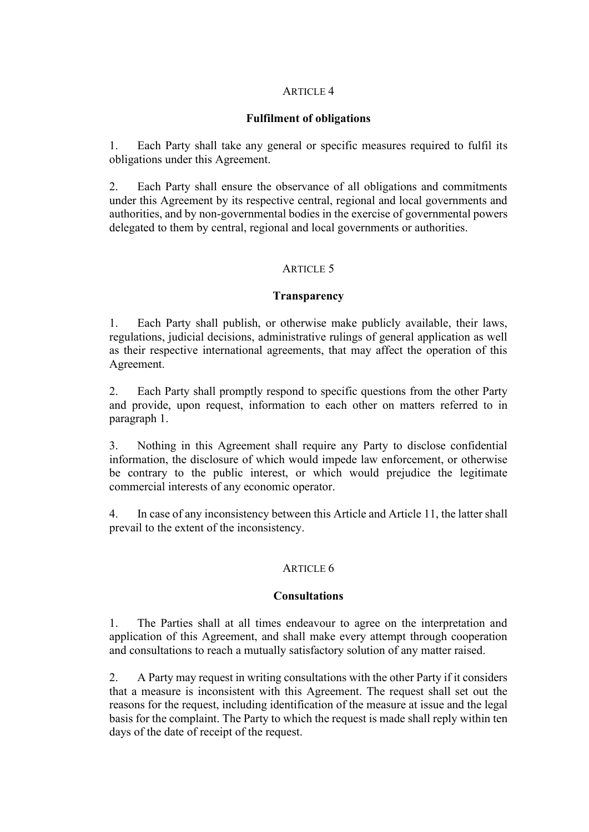## **Fulfilment of obligations**

1. Each Party shall take any general or specific measures required to fulfil its obligations under this Agreement.

2. Each Party shall ensure the observance of all obligations and commitments under this Agreement by its respective central, regional and local governments and authorities, and by non-governmental bodies in the exercise of governmental powers delegated to them by central, regional and local governments or authorities.

### ARTICLE 5

### **Transparency**

1. Each Party shall publish, or otherwise make publicly available, their laws, regulations, judicial decisions, administrative rulings of general application as well as their respective international agreements, that may affect the operation of this Agreement.

2. Each Party shall promptly respond to specific questions from the other Party and provide, upon request, information to each other on matters referred to in paragraph 1.

3. Nothing in this Agreement shall require any Party to disclose confidential information, the disclosure of which would impede law enforcement, or otherwise be contrary to the public interest, or which would prejudice the legitimate commercial interests of any economic operator.

4. In case of any inconsistency between this Article and Article 11, the latter shall prevail to the extent of the inconsistency.

## ARTICLE 6

#### **Consultations**

1. The Parties shall at all times endeavour to agree on the interpretation and application of this Agreement, and shall make every attempt through cooperation and consultations to reach a mutually satisfactory solution of any matter raised.

2. A Party may request in writing consultations with the other Party if it considers that a measure is inconsistent with this Agreement. The request shall set out the reasons for the request, including identification of the measure at issue and the legal basis for the complaint. The Party to which the request is made shall reply within ten days of the date of receipt of the request.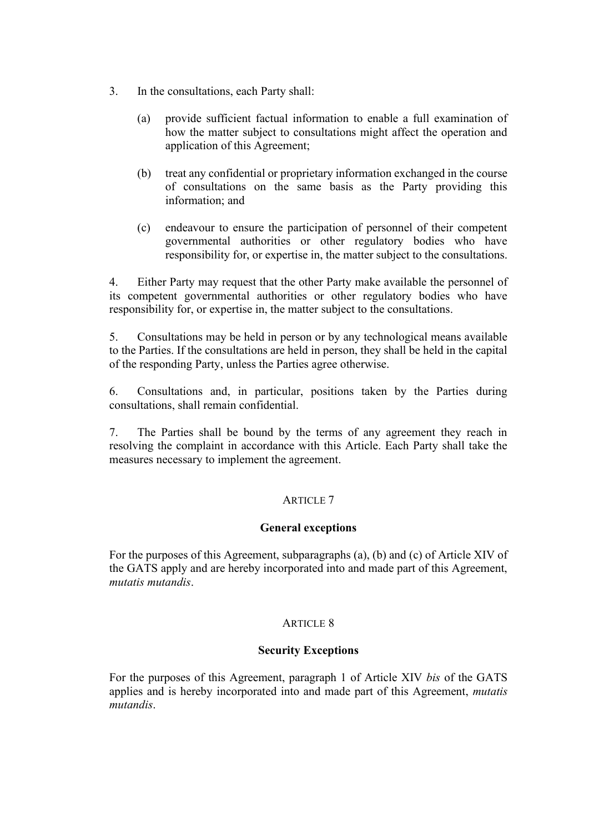- 3. In the consultations, each Party shall:
	- (a) provide sufficient factual information to enable a full examination of how the matter subject to consultations might affect the operation and application of this Agreement;
	- (b) treat any confidential or proprietary information exchanged in the course of consultations on the same basis as the Party providing this information; and
	- (c) endeavour to ensure the participation of personnel of their competent governmental authorities or other regulatory bodies who have responsibility for, or expertise in, the matter subject to the consultations.

4. Either Party may request that the other Party make available the personnel of its competent governmental authorities or other regulatory bodies who have responsibility for, or expertise in, the matter subject to the consultations.

5. Consultations may be held in person or by any technological means available to the Parties. If the consultations are held in person, they shall be held in the capital of the responding Party, unless the Parties agree otherwise.

6. Consultations and, in particular, positions taken by the Parties during consultations, shall remain confidential.

7. The Parties shall be bound by the terms of any agreement they reach in resolving the complaint in accordance with this Article. Each Party shall take the measures necessary to implement the agreement.

# ARTICLE 7

## **General exceptions**

For the purposes of this Agreement, subparagraphs (a), (b) and (c) of Article XIV of the GATS apply and are hereby incorporated into and made part of this Agreement, *mutatis mutandis*.

## ARTICLE 8

## **Security Exceptions**

For the purposes of this Agreement, paragraph 1 of Article XIV *bis* of the GATS applies and is hereby incorporated into and made part of this Agreement, *mutatis mutandis*.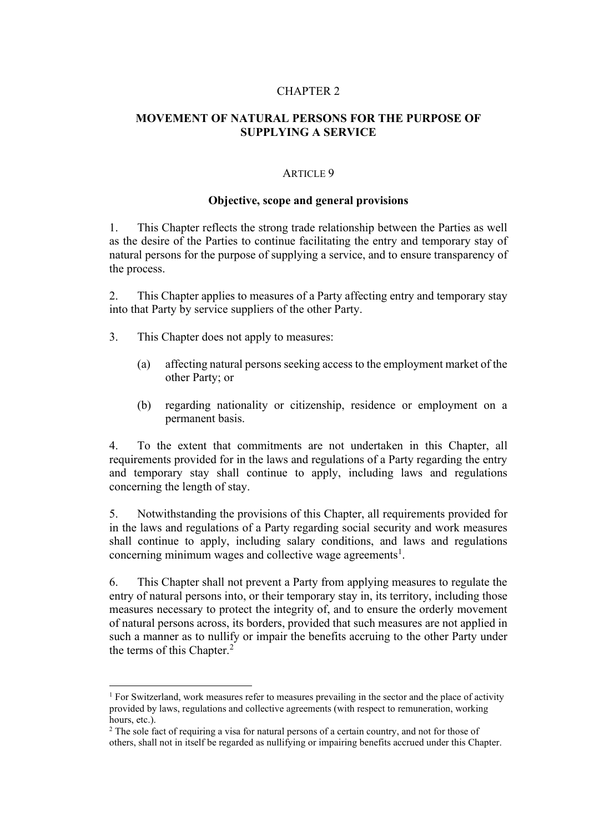#### CHAPTER 2

## **MOVEMENT OF NATURAL PERSONS FOR THE PURPOSE OF SUPPLYING A SERVICE**

#### ARTICLE 9

### **Objective, scope and general provisions**

1. This Chapter reflects the strong trade relationship between the Parties as well as the desire of the Parties to continue facilitating the entry and temporary stay of natural persons for the purpose of supplying a service, and to ensure transparency of the process.

2. This Chapter applies to measures of a Party affecting entry and temporary stay into that Party by service suppliers of the other Party.

- 3. This Chapter does not apply to measures:
	- (a) affecting natural persons seeking access to the employment market of the other Party; or
	- (b) regarding nationality or citizenship, residence or employment on a permanent basis.

4. To the extent that commitments are not undertaken in this Chapter, all requirements provided for in the laws and regulations of a Party regarding the entry and temporary stay shall continue to apply, including laws and regulations concerning the length of stay.

5. Notwithstanding the provisions of this Chapter, all requirements provided for in the laws and regulations of a Party regarding social security and work measures shall continue to apply, including salary conditions, and laws and regulations concerning minimum wages and collective wage agreements<sup>1</sup>.

6. This Chapter shall not prevent a Party from applying measures to regulate the entry of natural persons into, or their temporary stay in, its territory, including those measures necessary to protect the integrity of, and to ensure the orderly movement of natural persons across, its borders, provided that such measures are not applied in such a manner as to nullify or impair the benefits accruing to the other Party under the terms of this Chapter.<sup>2</sup>

<sup>&</sup>lt;sup>1</sup> For Switzerland, work measures refer to measures prevailing in the sector and the place of activity provided by laws, regulations and collective agreements (with respect to remuneration, working hours, etc.).

<sup>&</sup>lt;sup>2</sup> The sole fact of requiring a visa for natural persons of a certain country, and not for those of others, shall not in itself be regarded as nullifying or impairing benefits accrued under this Chapter.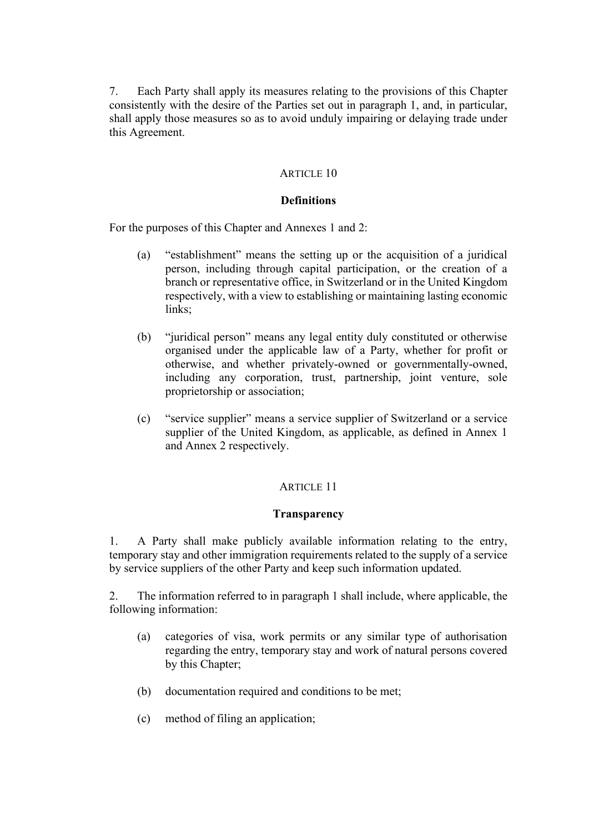7. Each Party shall apply its measures relating to the provisions of this Chapter consistently with the desire of the Parties set out in paragraph 1, and, in particular, shall apply those measures so as to avoid unduly impairing or delaying trade under this Agreement.

## ARTICLE 10

## **Definitions**

For the purposes of this Chapter and Annexes 1 and 2:

- (a) "establishment" means the setting up or the acquisition of a juridical person, including through capital participation, or the creation of a branch or representative office, in Switzerland or in the United Kingdom respectively, with a view to establishing or maintaining lasting economic links:
- (b) "juridical person" means any legal entity duly constituted or otherwise organised under the applicable law of a Party, whether for profit or otherwise, and whether privately-owned or governmentally-owned, including any corporation, trust, partnership, joint venture, sole proprietorship or association;
- (c) "service supplier" means a service supplier of Switzerland or a service supplier of the United Kingdom, as applicable, as defined in Annex 1 and Annex 2 respectively.

# ARTICLE 11

## **Transparency**

1. A Party shall make publicly available information relating to the entry, temporary stay and other immigration requirements related to the supply of a service by service suppliers of the other Party and keep such information updated.

2. The information referred to in paragraph 1 shall include, where applicable, the following information:

- (a) categories of visa, work permits or any similar type of authorisation regarding the entry, temporary stay and work of natural persons covered by this Chapter;
- (b) documentation required and conditions to be met;
- (c) method of filing an application;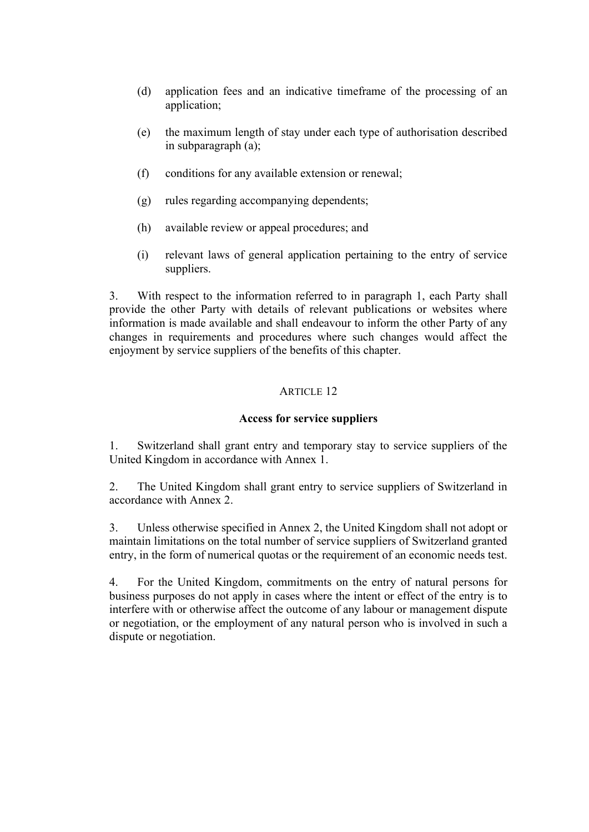- (d) application fees and an indicative timeframe of the processing of an application;
- (e) the maximum length of stay under each type of authorisation described in subparagraph (a);
- (f) conditions for any available extension or renewal;
- (g) rules regarding accompanying dependents;
- (h) available review or appeal procedures; and
- (i) relevant laws of general application pertaining to the entry of service suppliers.

3. With respect to the information referred to in paragraph 1, each Party shall provide the other Party with details of relevant publications or websites where information is made available and shall endeavour to inform the other Party of any changes in requirements and procedures where such changes would affect the enjoyment by service suppliers of the benefits of this chapter.

## ARTICLE 12

## **Access for service suppliers**

1. Switzerland shall grant entry and temporary stay to service suppliers of the United Kingdom in accordance with Annex 1.

2. The United Kingdom shall grant entry to service suppliers of Switzerland in accordance with Annex 2.

3. Unless otherwise specified in Annex 2, the United Kingdom shall not adopt or maintain limitations on the total number of service suppliers of Switzerland granted entry, in the form of numerical quotas or the requirement of an economic needs test.

4. For the United Kingdom, commitments on the entry of natural persons for business purposes do not apply in cases where the intent or effect of the entry is to interfere with or otherwise affect the outcome of any labour or management dispute or negotiation, or the employment of any natural person who is involved in such a dispute or negotiation.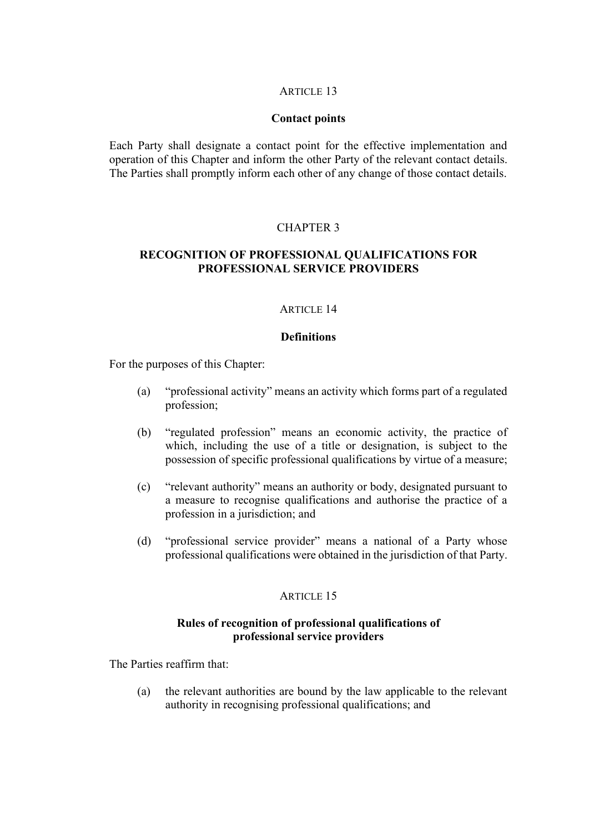## **Contact points**

Each Party shall designate a contact point for the effective implementation and operation of this Chapter and inform the other Party of the relevant contact details. The Parties shall promptly inform each other of any change of those contact details.

## CHAPTER 3

# **RECOGNITION OF PROFESSIONAL QUALIFICATIONS FOR PROFESSIONAL SERVICE PROVIDERS**

### ARTICLE 14

## **Definitions**

For the purposes of this Chapter:

- (a) "professional activity" means an activity which forms part of a regulated profession;
- (b) "regulated profession" means an economic activity, the practice of which, including the use of a title or designation, is subject to the possession of specific professional qualifications by virtue of a measure;
- (c) "relevant authority" means an authority or body, designated pursuant to a measure to recognise qualifications and authorise the practice of a profession in a jurisdiction; and
- (d) "professional service provider" means a national of a Party whose professional qualifications were obtained in the jurisdiction of that Party.

#### ARTICLE 15

## **Rules of recognition of professional qualifications of professional service providers**

The Parties reaffirm that:

(a) the relevant authorities are bound by the law applicable to the relevant authority in recognising professional qualifications; and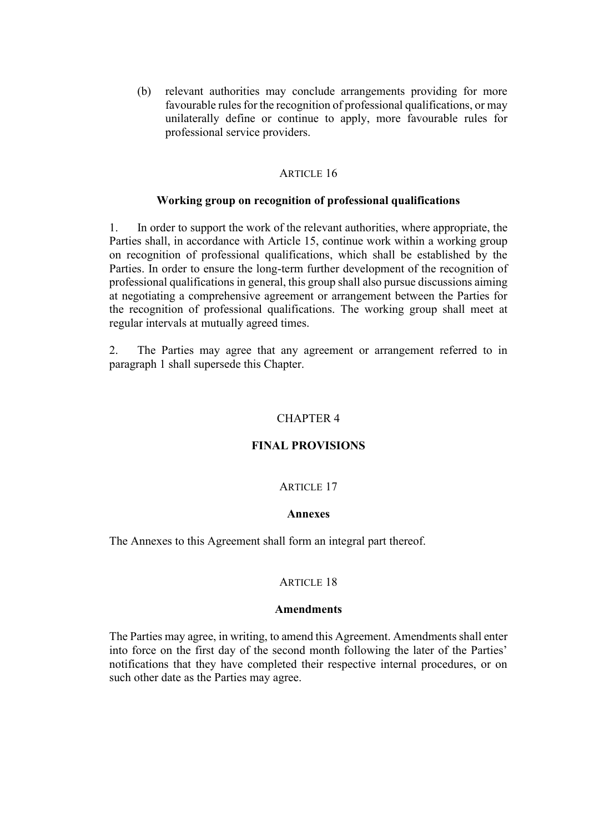(b) relevant authorities may conclude arrangements providing for more favourable rules for the recognition of professional qualifications, or may unilaterally define or continue to apply, more favourable rules for professional service providers.

### **ARTICLE 16**

### **Working group on recognition of professional qualifications**

1. In order to support the work of the relevant authorities, where appropriate, the Parties shall, in accordance with Article 15, continue work within a working group on recognition of professional qualifications, which shall be established by the Parties. In order to ensure the long-term further development of the recognition of professional qualifications in general, this group shall also pursue discussions aiming at negotiating a comprehensive agreement or arrangement between the Parties for the recognition of professional qualifications. The working group shall meet at regular intervals at mutually agreed times.

2. The Parties may agree that any agreement or arrangement referred to in paragraph 1 shall supersede this Chapter.

## CHAPTER 4

### **FINAL PROVISIONS**

#### ARTICLE 17

### **Annexes**

The Annexes to this Agreement shall form an integral part thereof.

#### **ARTICLE 18**

#### **Amendments**

The Parties may agree, in writing, to amend this Agreement. Amendments shall enter into force on the first day of the second month following the later of the Parties' notifications that they have completed their respective internal procedures, or on such other date as the Parties may agree.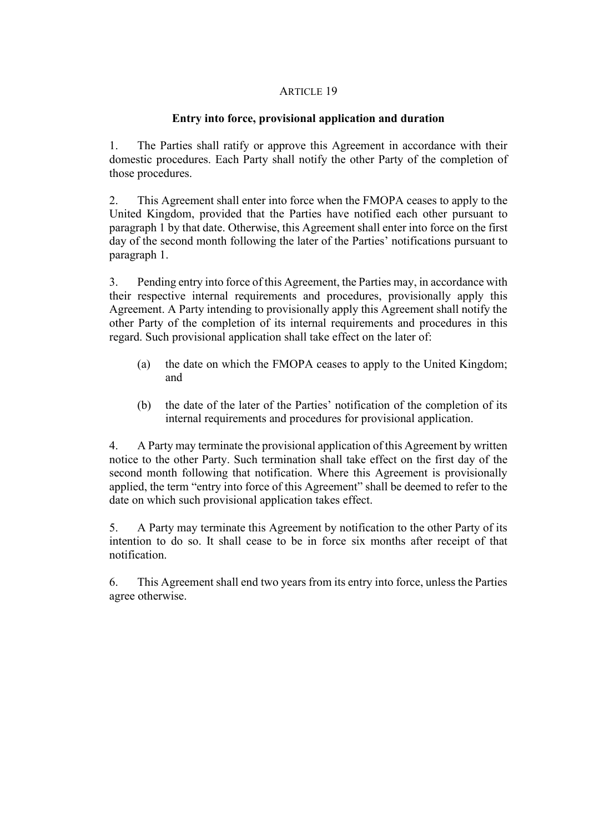## **Entry into force, provisional application and duration**

1. The Parties shall ratify or approve this Agreement in accordance with their domestic procedures. Each Party shall notify the other Party of the completion of those procedures.

2. This Agreement shall enter into force when the FMOPA ceases to apply to the United Kingdom, provided that the Parties have notified each other pursuant to paragraph 1 by that date. Otherwise, this Agreement shall enter into force on the first day of the second month following the later of the Parties' notifications pursuant to paragraph 1.

3. Pending entry into force of this Agreement, the Parties may, in accordance with their respective internal requirements and procedures, provisionally apply this Agreement. A Party intending to provisionally apply this Agreement shall notify the other Party of the completion of its internal requirements and procedures in this regard. Such provisional application shall take effect on the later of:

- (a) the date on which the FMOPA ceases to apply to the United Kingdom; and
- (b) the date of the later of the Parties' notification of the completion of its internal requirements and procedures for provisional application.

4. A Party may terminate the provisional application of this Agreement by written notice to the other Party. Such termination shall take effect on the first day of the second month following that notification. Where this Agreement is provisionally applied, the term "entry into force of this Agreement" shall be deemed to refer to the date on which such provisional application takes effect.

5. A Party may terminate this Agreement by notification to the other Party of its intention to do so. It shall cease to be in force six months after receipt of that notification.

6. This Agreement shall end two years from its entry into force, unless the Parties agree otherwise.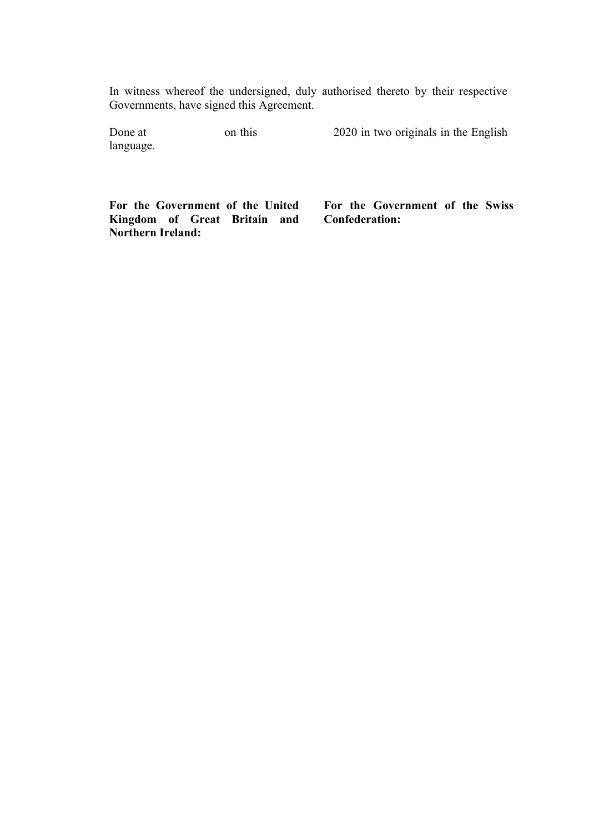In witness whereof the undersigned, duly authorised thereto by their respective Governments, have signed this Agreement.

| Done at   | on this | 2020 in two originals in the English |
|-----------|---------|--------------------------------------|
| language. |         |                                      |

**For the Government of the United Kingdom of Great Britain and Northern Ireland:**

**For the Government of the Swiss Confederation:**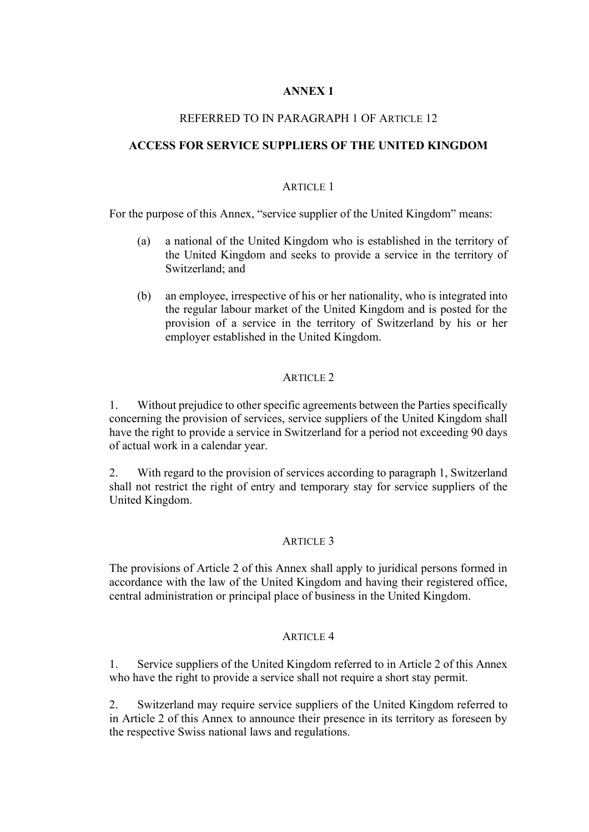# **ANNEX 1**

## REFERRED TO IN PARAGRAPH 1 OF ARTICLE 12

## **ACCESS FOR SERVICE SUPPLIERS OF THE UNITED KINGDOM**

## ARTICLE 1

For the purpose of this Annex, "service supplier of the United Kingdom" means:

- (a) a national of the United Kingdom who is established in the territory of the United Kingdom and seeks to provide a service in the territory of Switzerland; and
- (b) an employee, irrespective of his or her nationality, who is integrated into the regular labour market of the United Kingdom and is posted for the provision of a service in the territory of Switzerland by his or her employer established in the United Kingdom.

## ARTICLE 2

1. Without prejudice to other specific agreements between the Parties specifically concerning the provision of services, service suppliers of the United Kingdom shall have the right to provide a service in Switzerland for a period not exceeding 90 days of actual work in a calendar year.

2. With regard to the provision of services according to paragraph 1, Switzerland shall not restrict the right of entry and temporary stay for service suppliers of the United Kingdom.

## ARTICLE 3

The provisions of Article 2 of this Annex shall apply to juridical persons formed in accordance with the law of the United Kingdom and having their registered office, central administration or principal place of business in the United Kingdom.

## ARTICLE 4

1. Service suppliers of the United Kingdom referred to in Article 2 of this Annex who have the right to provide a service shall not require a short stay permit.

2. Switzerland may require service suppliers of the United Kingdom referred to in Article 2 of this Annex to announce their presence in its territory as foreseen by the respective Swiss national laws and regulations.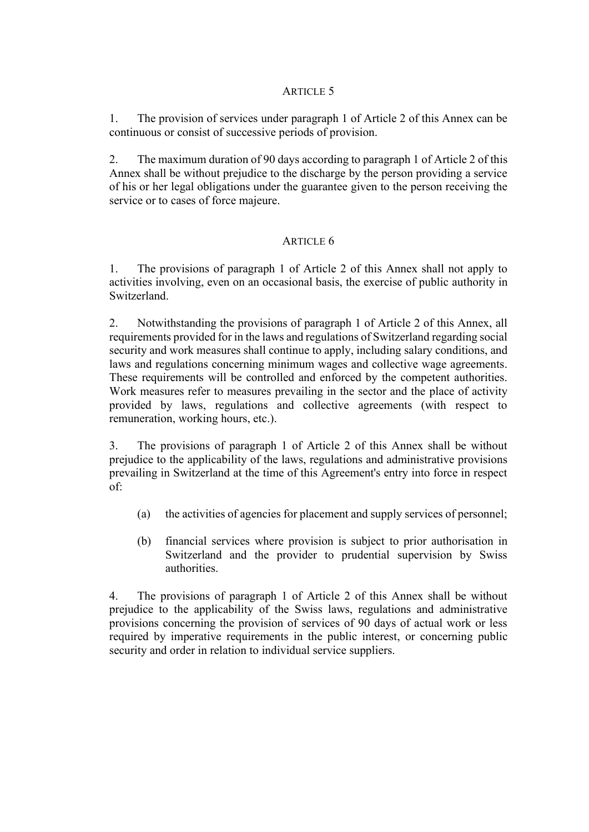1. The provision of services under paragraph 1 of Article 2 of this Annex can be continuous or consist of successive periods of provision.

2. The maximum duration of 90 days according to paragraph 1 of Article 2 of this Annex shall be without prejudice to the discharge by the person providing a service of his or her legal obligations under the guarantee given to the person receiving the service or to cases of force majeure.

# ARTICLE 6

1. The provisions of paragraph 1 of Article 2 of this Annex shall not apply to activities involving, even on an occasional basis, the exercise of public authority in Switzerland.

2. Notwithstanding the provisions of paragraph 1 of Article 2 of this Annex, all requirements provided for in the laws and regulations of Switzerland regarding social security and work measures shall continue to apply, including salary conditions, and laws and regulations concerning minimum wages and collective wage agreements. These requirements will be controlled and enforced by the competent authorities. Work measures refer to measures prevailing in the sector and the place of activity provided by laws, regulations and collective agreements (with respect to remuneration, working hours, etc.).

3. The provisions of paragraph 1 of Article 2 of this Annex shall be without prejudice to the applicability of the laws, regulations and administrative provisions prevailing in Switzerland at the time of this Agreement's entry into force in respect of:

- (a) the activities of agencies for placement and supply services of personnel;
- (b) financial services where provision is subject to prior authorisation in Switzerland and the provider to prudential supervision by Swiss authorities.

4. The provisions of paragraph 1 of Article 2 of this Annex shall be without prejudice to the applicability of the Swiss laws, regulations and administrative provisions concerning the provision of services of 90 days of actual work or less required by imperative requirements in the public interest, or concerning public security and order in relation to individual service suppliers.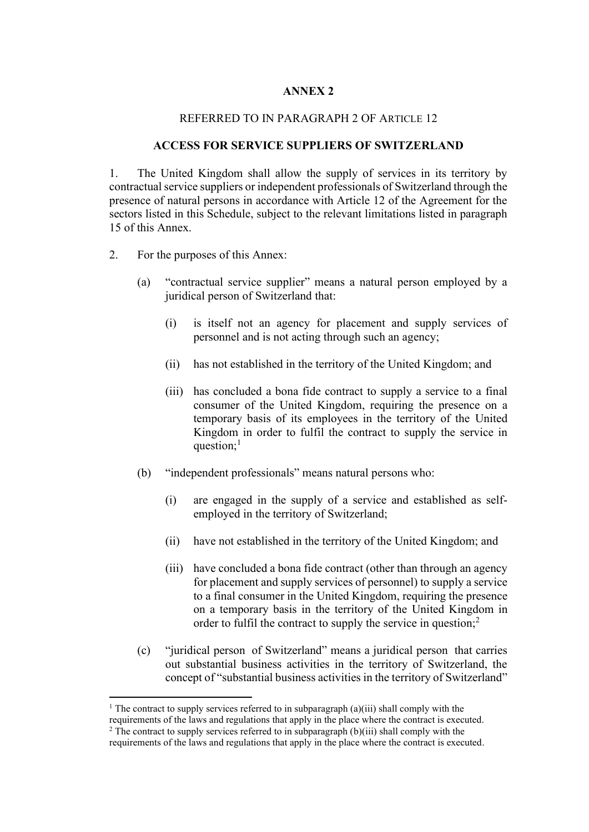## **ANNEX 2**

### REFERRED TO IN PARAGRAPH 2 OF ARTICLE 12

### **ACCESS FOR SERVICE SUPPLIERS OF SWITZERLAND**

1. The United Kingdom shall allow the supply of services in its territory by contractual service suppliers or independent professionals of Switzerland through the presence of natural persons in accordance with Article 12 of the Agreement for the sectors listed in this Schedule, subject to the relevant limitations listed in paragraph 15 of this Annex.

- 2. For the purposes of this Annex:
	- (a) "contractual service supplier" means a natural person employed by a juridical person of Switzerland that:
		- (i) is itself not an agency for placement and supply services of personnel and is not acting through such an agency;
		- (ii) has not established in the territory of the United Kingdom; and
		- (iii) has concluded a bona fide contract to supply a service to a final consumer of the United Kingdom, requiring the presence on a temporary basis of its employees in the territory of the United Kingdom in order to fulfil the contract to supply the service in question; $<sup>1</sup>$ </sup>
	- (b) "independent professionals" means natural persons who:
		- (i) are engaged in the supply of a service and established as selfemployed in the territory of Switzerland;
		- (ii) have not established in the territory of the United Kingdom; and
		- (iii) have concluded a bona fide contract (other than through an agency for placement and supply services of personnel) to supply a service to a final consumer in the United Kingdom, requiring the presence on a temporary basis in the territory of the United Kingdom in order to fulfil the contract to supply the service in question;<sup>2</sup>
	- (c) "juridical person of Switzerland" means a juridical person that carries out substantial business activities in the territory of Switzerland, the concept of "substantial business activities in the territory of Switzerland"

<sup>&</sup>lt;sup>1</sup> The contract to supply services referred to in subparagraph (a)(iii) shall comply with the requirements of the laws and regulations that apply in the place where the contract is executed.

 $2$  The contract to supply services referred to in subparagraph (b)(iii) shall comply with the requirements of the laws and regulations that apply in the place where the contract is executed.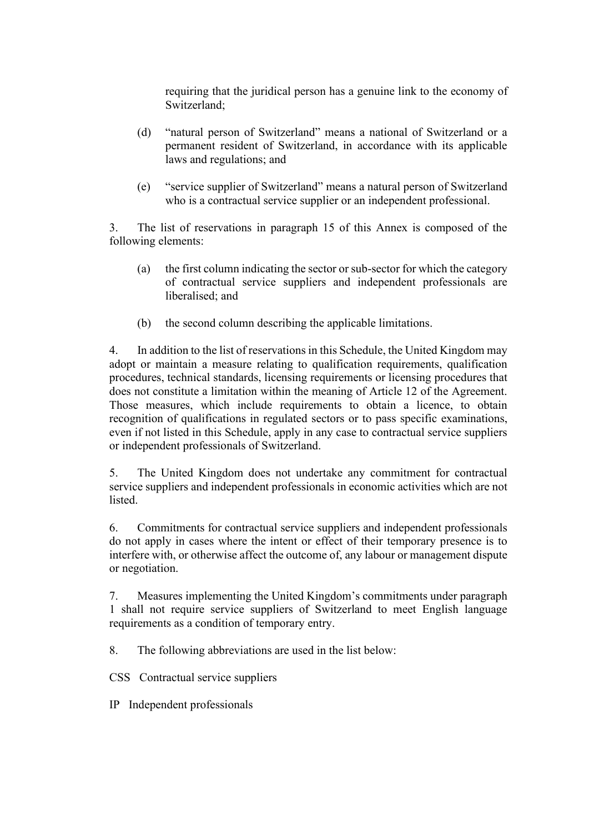requiring that the juridical person has a genuine link to the economy of Switzerland;

- (d) "natural person of Switzerland" means a national of Switzerland or a permanent resident of Switzerland, in accordance with its applicable laws and regulations; and
- (e) "service supplier of Switzerland" means a natural person of Switzerland who is a contractual service supplier or an independent professional.

3. The list of reservations in paragraph 15 of this Annex is composed of the following elements:

- (a) the first column indicating the sector or sub-sector for which the category of contractual service suppliers and independent professionals are liberalised; and
- (b) the second column describing the applicable limitations.

4. In addition to the list of reservations in this Schedule, the United Kingdom may adopt or maintain a measure relating to qualification requirements, qualification procedures, technical standards, licensing requirements or licensing procedures that does not constitute a limitation within the meaning of Article 12 of the Agreement. Those measures, which include requirements to obtain a licence, to obtain recognition of qualifications in regulated sectors or to pass specific examinations, even if not listed in this Schedule, apply in any case to contractual service suppliers or independent professionals of Switzerland.

5. The United Kingdom does not undertake any commitment for contractual service suppliers and independent professionals in economic activities which are not listed.

6. Commitments for contractual service suppliers and independent professionals do not apply in cases where the intent or effect of their temporary presence is to interfere with, or otherwise affect the outcome of, any labour or management dispute or negotiation.

7. Measures implementing the United Kingdom's commitments under paragraph 1 shall not require service suppliers of Switzerland to meet English language requirements as a condition of temporary entry.

8. The following abbreviations are used in the list below:

CSS Contractual service suppliers

IP Independent professionals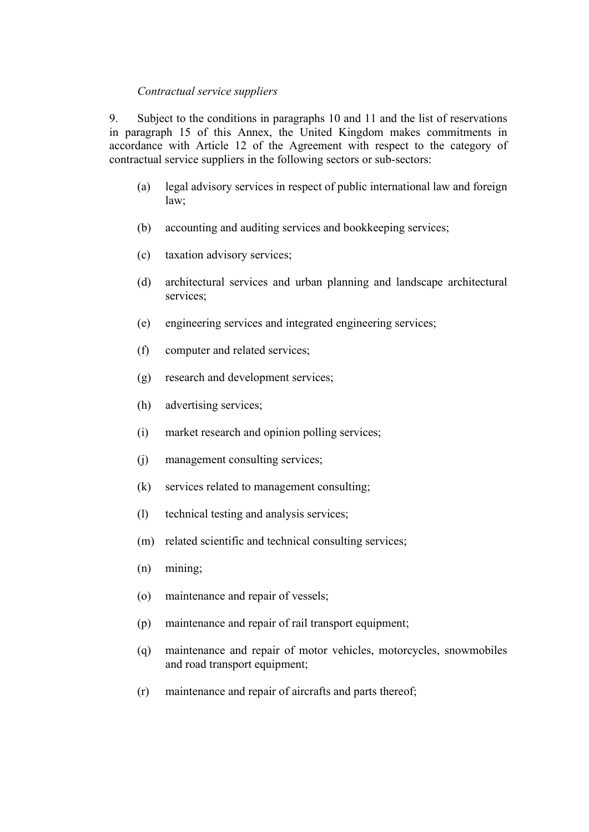### *Contractual service suppliers*

9. Subject to the conditions in paragraphs 10 and 11 and the list of reservations in paragraph 15 of this Annex, the United Kingdom makes commitments in accordance with Article 12 of the Agreement with respect to the category of contractual service suppliers in the following sectors or sub-sectors:

- (a) legal advisory services in respect of public international law and foreign law;
- (b) accounting and auditing services and bookkeeping services;
- (c) taxation advisory services;
- (d) architectural services and urban planning and landscape architectural services;
- (e) engineering services and integrated engineering services;
- (f) computer and related services;
- (g) research and development services;
- (h) advertising services;
- (i) market research and opinion polling services;
- (j) management consulting services;
- (k) services related to management consulting;
- (l) technical testing and analysis services;
- (m) related scientific and technical consulting services;
- (n) mining;
- (o) maintenance and repair of vessels;
- (p) maintenance and repair of rail transport equipment;
- (q) maintenance and repair of motor vehicles, motorcycles, snowmobiles and road transport equipment;
- (r) maintenance and repair of aircrafts and parts thereof;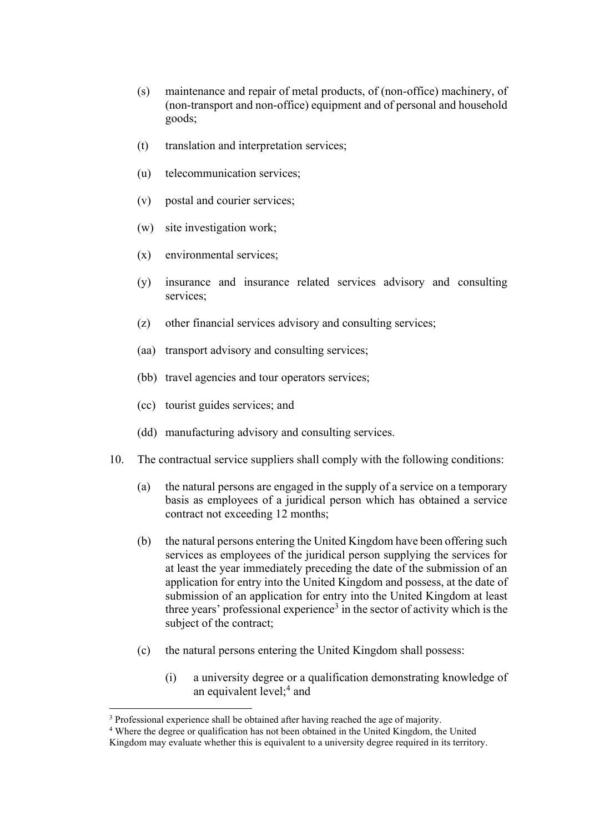- (s) maintenance and repair of metal products, of (non-office) machinery, of (non-transport and non-office) equipment and of personal and household goods;
- (t) translation and interpretation services;
- (u) telecommunication services;
- (v) postal and courier services;
- (w) site investigation work;
- (x) environmental services;
- (y) insurance and insurance related services advisory and consulting services;
- (z) other financial services advisory and consulting services;
- (aa) transport advisory and consulting services;
- (bb) travel agencies and tour operators services;
- (cc) tourist guides services; and
- (dd) manufacturing advisory and consulting services.
- 10. The contractual service suppliers shall comply with the following conditions:
	- (a) the natural persons are engaged in the supply of a service on a temporary basis as employees of a juridical person which has obtained a service contract not exceeding 12 months;
	- (b) the natural persons entering the United Kingdom have been offering such services as employees of the juridical person supplying the services for at least the year immediately preceding the date of the submission of an application for entry into the United Kingdom and possess, at the date of submission of an application for entry into the United Kingdom at least three years' professional experience<sup>3</sup> in the sector of activity which is the subject of the contract;
	- (c) the natural persons entering the United Kingdom shall possess:
		- (i) a university degree or a qualification demonstrating knowledge of an equivalent level; $4$  and

<sup>&</sup>lt;sup>3</sup> Professional experience shall be obtained after having reached the age of majority.

<sup>4</sup> Where the degree or qualification has not been obtained in the United Kingdom, the United

Kingdom may evaluate whether this is equivalent to a university degree required in its territory.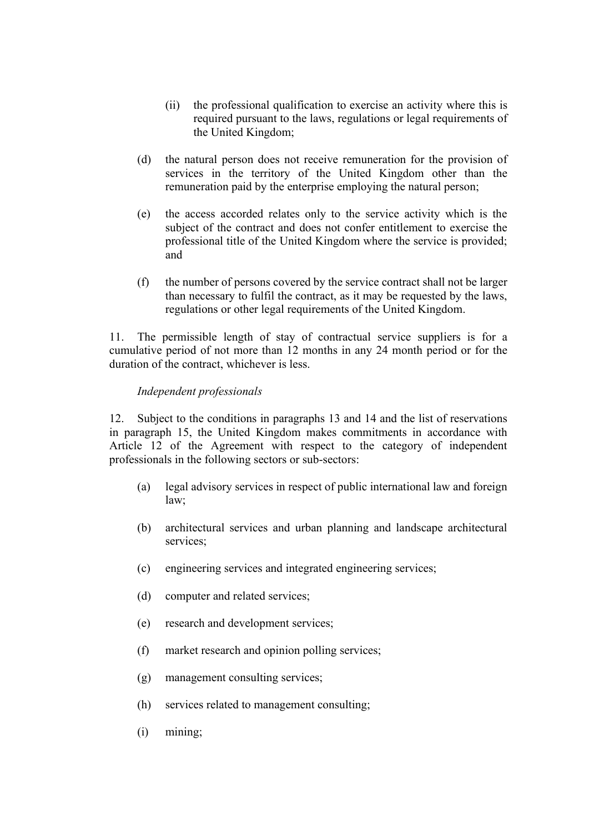- (ii) the professional qualification to exercise an activity where this is required pursuant to the laws, regulations or legal requirements of the United Kingdom;
- (d) the natural person does not receive remuneration for the provision of services in the territory of the United Kingdom other than the remuneration paid by the enterprise employing the natural person;
- (e) the access accorded relates only to the service activity which is the subject of the contract and does not confer entitlement to exercise the professional title of the United Kingdom where the service is provided; and
- (f) the number of persons covered by the service contract shall not be larger than necessary to fulfil the contract, as it may be requested by the laws, regulations or other legal requirements of the United Kingdom.

11. The permissible length of stay of contractual service suppliers is for a cumulative period of not more than 12 months in any 24 month period or for the duration of the contract, whichever is less.

## *Independent professionals*

12. Subject to the conditions in paragraphs 13 and 14 and the list of reservations in paragraph 15, the United Kingdom makes commitments in accordance with Article 12 of the Agreement with respect to the category of independent professionals in the following sectors or sub-sectors:

- (a) legal advisory services in respect of public international law and foreign law;
- (b) architectural services and urban planning and landscape architectural services;
- (c) engineering services and integrated engineering services;
- (d) computer and related services;
- (e) research and development services;
- (f) market research and opinion polling services;
- (g) management consulting services;
- (h) services related to management consulting;
- (i) mining;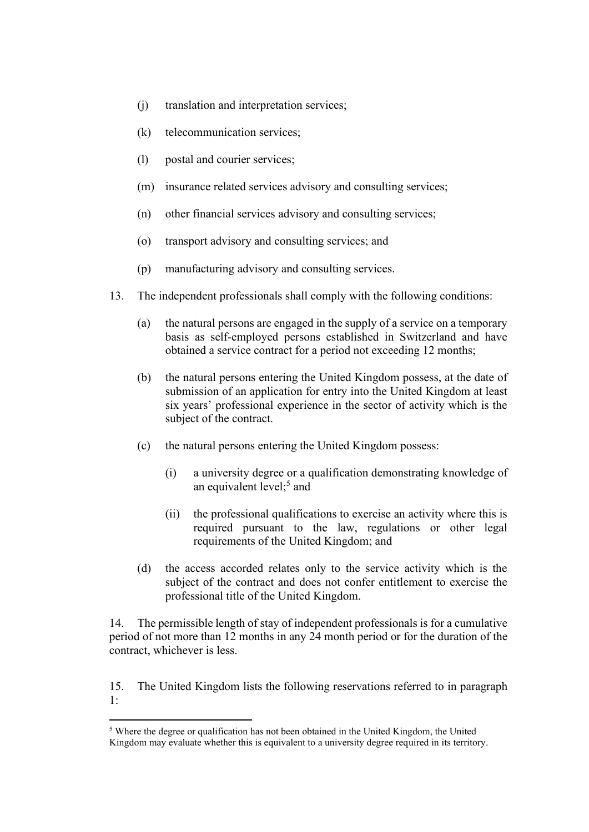- (j) translation and interpretation services;
- (k) telecommunication services;
- (l) postal and courier services;
- (m) insurance related services advisory and consulting services;
- (n) other financial services advisory and consulting services;
- (o) transport advisory and consulting services; and
- (p) manufacturing advisory and consulting services.
- 13. The independent professionals shall comply with the following conditions:
	- (a) the natural persons are engaged in the supply of a service on a temporary basis as self-employed persons established in Switzerland and have obtained a service contract for a period not exceeding 12 months;
	- (b) the natural persons entering the United Kingdom possess, at the date of submission of an application for entry into the United Kingdom at least six years' professional experience in the sector of activity which is the subject of the contract.
	- (c) the natural persons entering the United Kingdom possess:
		- (i) a university degree or a qualification demonstrating knowledge of an equivalent level;<sup>5</sup> and
		- (ii) the professional qualifications to exercise an activity where this is required pursuant to the law, regulations or other legal requirements of the United Kingdom; and
	- (d) the access accorded relates only to the service activity which is the subject of the contract and does not confer entitlement to exercise the professional title of the United Kingdom.

14. The permissible length of stay of independent professionals is for a cumulative period of not more than 12 months in any 24 month period or for the duration of the contract, whichever is less.

15. The United Kingdom lists the following reservations referred to in paragraph 1:

<sup>5</sup> Where the degree or qualification has not been obtained in the United Kingdom, the United Kingdom may evaluate whether this is equivalent to a university degree required in its territory.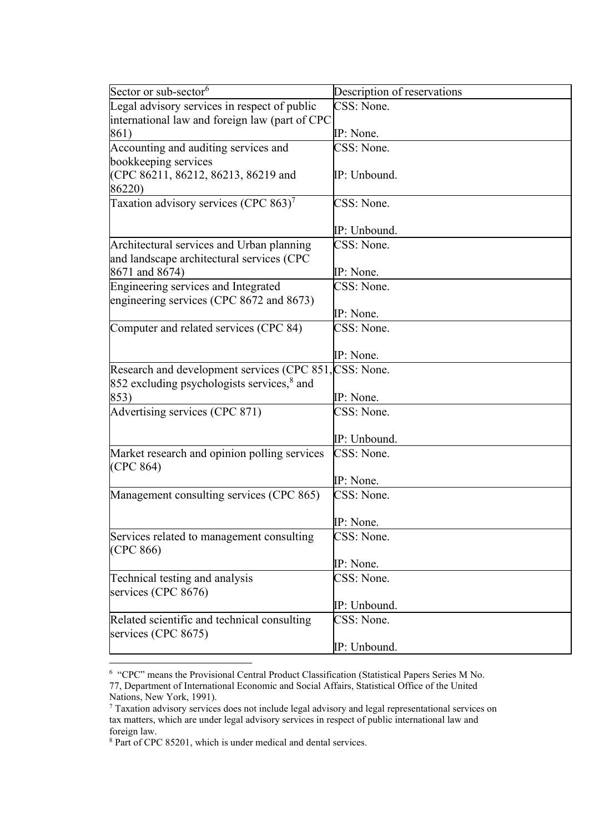| Sector or sub-sector <sup>6</sup>                      | Description of reservations |
|--------------------------------------------------------|-----------------------------|
| Legal advisory services in respect of public           | CSS: None.                  |
| international law and foreign law (part of CPC         |                             |
| 861)                                                   | IP: None.                   |
| Accounting and auditing services and                   | CSS: None.                  |
| bookkeeping services                                   |                             |
| (CPC 86211, 86212, 86213, 86219 and                    | IP: Unbound.                |
| 86220)                                                 |                             |
| Taxation advisory services (CPC 863) <sup>7</sup>      | CSS: None.                  |
|                                                        |                             |
|                                                        | IP: Unbound.                |
| Architectural services and Urban planning              | CSS: None.                  |
| and landscape architectural services (CPC              |                             |
| 8671 and 8674)                                         | IP: None.                   |
| Engineering services and Integrated                    | CSS: None.                  |
| engineering services (CPC 8672 and 8673)               |                             |
|                                                        | IP: None.                   |
| Computer and related services (CPC 84)                 | CSS: None.                  |
|                                                        |                             |
|                                                        | IP: None.                   |
| Research and development services (CPC 851, CSS: None. |                             |
| 852 excluding psychologists services, <sup>8</sup> and |                             |
|                                                        | IP: None.                   |
| 853)                                                   | CSS: None.                  |
| Advertising services (CPC 871)                         |                             |
|                                                        |                             |
|                                                        | IP: Unbound.                |
| Market research and opinion polling services           | CSS: None.                  |
| (CPC 864)                                              |                             |
|                                                        | IP: None.                   |
| Management consulting services (CPC 865)               | CSS: None.                  |
|                                                        |                             |
|                                                        | IP: None.                   |
| Services related to management consulting              | CSS: None.                  |
| (CPC 866)                                              |                             |
|                                                        | IP: None.                   |
| Technical testing and analysis                         | CSS: None.                  |
| services (CPC 8676)                                    |                             |
|                                                        | IP: Unbound.                |
| Related scientific and technical consulting            | CSS: None.                  |
| services (CPC 8675)                                    |                             |
|                                                        | IP: Unbound.                |

<sup>6</sup> "CPC" means the Provisional Central Product Classification (Statistical Papers Series M No. 77, Department of International Economic and Social Affairs, Statistical Office of the United Nations, New York, 1991).

<sup>7</sup> Taxation advisory services does not include legal advisory and legal representational services on tax matters, which are under legal advisory services in respect of public international law and foreign law.

<sup>&</sup>lt;sup>8</sup> Part of CPC 85201, which is under medical and dental services.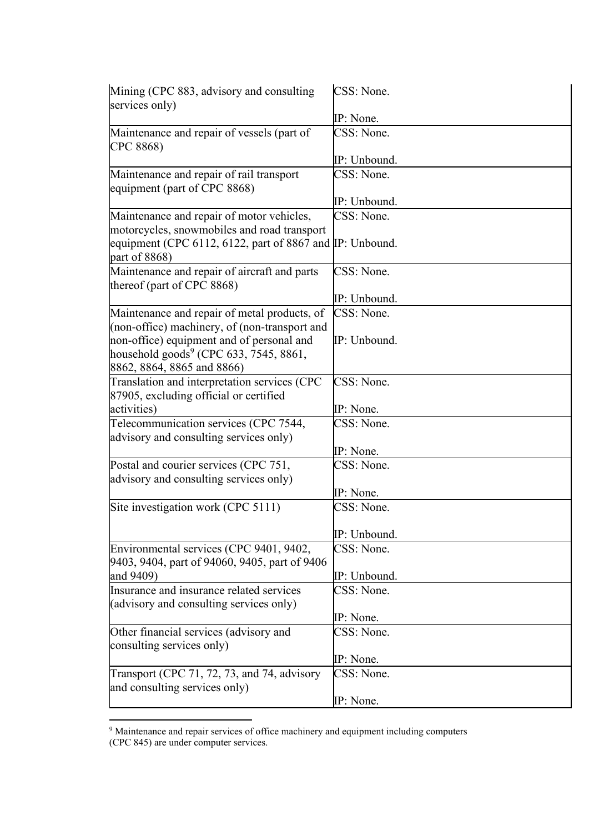| Mining (CPC 883, advisory and consulting<br>services only)                                                                                                                     | CSS: None.   |
|--------------------------------------------------------------------------------------------------------------------------------------------------------------------------------|--------------|
|                                                                                                                                                                                | IP: None.    |
| Maintenance and repair of vessels (part of<br>CPC 8868)                                                                                                                        | CSS: None.   |
|                                                                                                                                                                                | IP: Unbound. |
| Maintenance and repair of rail transport<br>equipment (part of CPC 8868)                                                                                                       | CSS: None.   |
|                                                                                                                                                                                | IP: Unbound. |
| Maintenance and repair of motor vehicles,                                                                                                                                      | CSS: None.   |
| motorcycles, snowmobiles and road transport<br>equipment (CPC 6112, 6122, part of 8867 and IP: Unbound.<br>part of 8868)                                                       |              |
| Maintenance and repair of aircraft and parts<br>thereof (part of CPC 8868)                                                                                                     | CSS: None.   |
|                                                                                                                                                                                | IP: Unbound. |
| Maintenance and repair of metal products, of                                                                                                                                   | CSS: None.   |
| (non-office) machinery, of (non-transport and<br>non-office) equipment and of personal and<br>household goods <sup>9</sup> (CPC 633, 7545, 8861,<br>8862, 8864, 8865 and 8866) | IP: Unbound. |
| Translation and interpretation services (CPC                                                                                                                                   | CSS: None.   |
| 87905, excluding official or certified                                                                                                                                         |              |
| activities)                                                                                                                                                                    | IP: None.    |
| Telecommunication services (CPC 7544,<br>advisory and consulting services only)                                                                                                | CSS: None.   |
|                                                                                                                                                                                | IP: None.    |
| Postal and courier services (CPC 751,<br>advisory and consulting services only)                                                                                                | CSS: None.   |
|                                                                                                                                                                                | IP: None.    |
| Site investigation work (CPC 5111)                                                                                                                                             | CSS: None.   |
|                                                                                                                                                                                | IP: Unbound. |
| Environmental services (CPC 9401, 9402,<br>9403, 9404, part of 94060, 9405, part of 9406                                                                                       | CSS: None.   |
| and 9409)                                                                                                                                                                      | IP: Unbound. |
| Insurance and insurance related services<br>(advisory and consulting services only)                                                                                            | CSS: None.   |
|                                                                                                                                                                                | IP: None.    |
| Other financial services (advisory and<br>consulting services only)                                                                                                            | CSS: None.   |
|                                                                                                                                                                                | IP: None.    |
| Transport (CPC 71, 72, 73, and 74, advisory<br>and consulting services only)                                                                                                   | CSS: None.   |
|                                                                                                                                                                                | IP: None.    |

<sup>&</sup>lt;sup>9</sup> Maintenance and repair services of office machinery and equipment including computers (CPC 845) are under computer services.